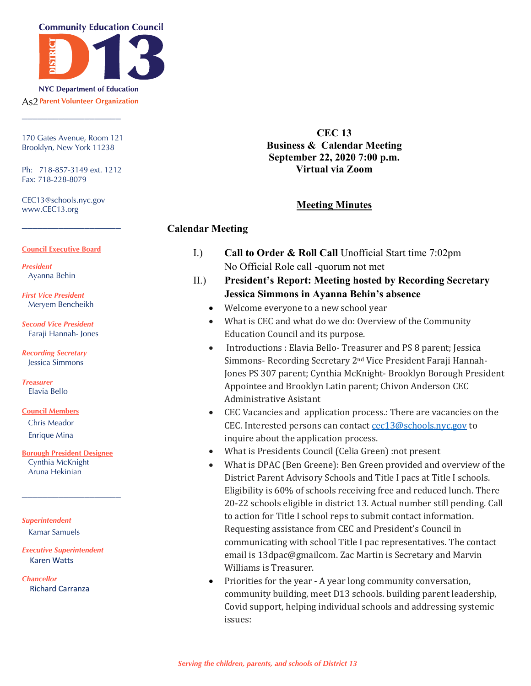

**As? Parent Volunteer Organization** 

170 Gates Avenue, Room 121 Brooklyn, New York 11238

\_\_\_\_\_\_\_\_\_\_\_\_\_\_\_\_\_\_\_

Ph: 718-857-3149 ext. 1212 Fax: 718-228-8079

\_\_\_\_\_\_\_\_\_\_\_\_\_\_\_\_\_\_\_

CEC13@schools.nyc.gov www.CEC13.org

#### **Council Executive Board**

*President* Ayanna Behin

*First Vice President* Meryem Bencheikh

*Second Vice President* Faraji Hannah- Jones

*Recording Secretary* Jessica Simmons

*Treasurer* Elavia Bello

#### **Council Members**

Chris Meador Enrique Mina

**Borough President Designee** Cynthia McKnight Aruna Hekinian

\_\_\_\_\_\_\_\_\_\_\_\_\_\_\_\_\_\_\_

*Superintendent* Kamar Samuels

#### *Executive Superintendent* Karen Watts

*Chancellor* Richard Carranza

**CEC 13 Business & Calendar Meeting September 22, 2020 7:00 p.m. Virtual via Zoom**

# **Meeting Minutes**

# **Calendar Meeting**

- I.) **Call to Order & Roll Call** Unofficial Start time 7:02pm No Official Role call -quorum not met
- II.) **President's Report: Meeting hosted by Recording Secretary Jessica Simmons in Ayanna Behin's absence**
	- Welcome everyone to a new school year
	- What is CEC and what do we do: Overview of the Community Education Council and its purpose.
	- Introductions : Elavia Bello-Treasurer and PS 8 parent; Jessica Simmons- Recording Secretary 2<sup>nd</sup> Vice President Faraji Hannah-Jones PS 307 parent; Cynthia McKnight- Brooklyn Borough President Appointee and Brooklyn Latin parent; Chivon Anderson CEC Administrative Asistant
	- CEC Vacancies and application process.: There are vacancies on the CEC. Interested persons can contact  $cec13@schools.nyc.gov$  to inquire about the application process.
	- What is Presidents Council (Celia Green) :not present
	- What is DPAC (Ben Greene): Ben Green provided and overview of the District Parent Advisory Schools and Title I pacs at Title I schools. Eligibility is 60% of schools receiving free and reduced lunch. There 20-22 schools eligible in district 13. Actual number still pending. Call to action for Title I school reps to submit contact information. Requesting assistance from CEC and President's Council in communicating with school Title I pac representatives. The contact email is 13dpac@gmailcom. Zac Martin is Secretary and Marvin Williams is Treasurer.
	- Priorities for the year A year long community conversation, community building, meet D13 schools. building parent leadership, Covid support, helping individual schools and addressing systemic issues: